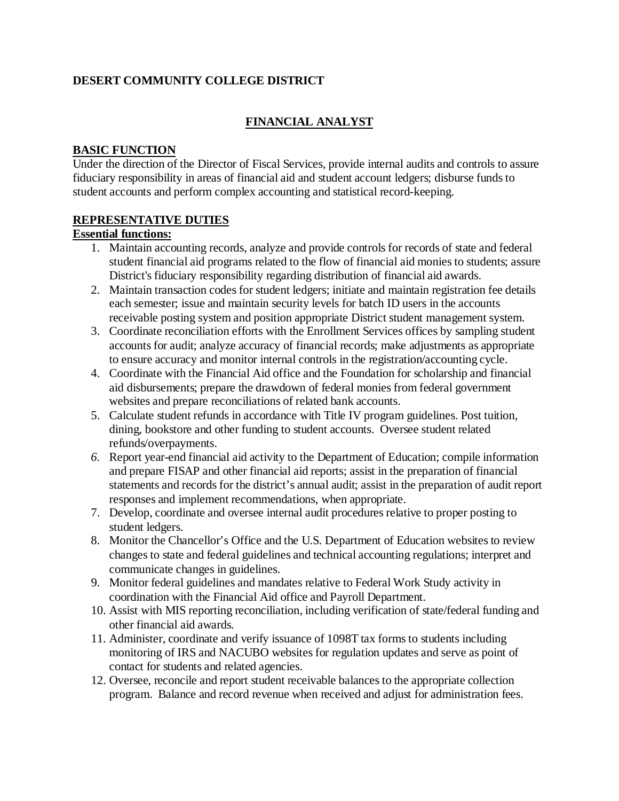# **DESERT COMMUNITY COLLEGE DISTRICT**

# **FINANCIAL ANALYST**

### **BASIC FUNCTION**

Under the direction of the Director of Fiscal Services, provide internal audits and controls to assure fiduciary responsibility in areas of financial aid and student account ledgers; disburse funds to student accounts and perform complex accounting and statistical record-keeping.

### **REPRESENTATIVE DUTIES**

# **Essential functions:**

- 1. Maintain accounting records, analyze and provide controls for records of state and federal student financial aid programs related to the flow of financial aid monies to students; assure District's fiduciary responsibility regarding distribution of financial aid awards.
- 2. Maintain transaction codes for student ledgers; initiate and maintain registration fee details each semester; issue and maintain security levels for batch ID users in the accounts receivable posting system and position appropriate District student management system.
- 3. Coordinate reconciliation efforts with the Enrollment Services offices by sampling student accounts for audit; analyze accuracy of financial records; make adjustments as appropriate to ensure accuracy and monitor internal controls in the registration/accounting cycle.
- 4. Coordinate with the Financial Aid office and the Foundation for scholarship and financial aid disbursements; prepare the drawdown of federal monies from federal government websites and prepare reconciliations of related bank accounts.
- 5. Calculate student refunds in accordance with Title IV program guidelines. Post tuition, dining, bookstore and other funding to student accounts. Oversee student related refunds/overpayments.
- *6.* Report year-end financial aid activity to the Department of Education; compile information and prepare FISAP and other financial aid reports; assist in the preparation of financial statements and records for the district's annual audit; assist in the preparation of audit report responses and implement recommendations, when appropriate.
- 7. Develop, coordinate and oversee internal audit procedures relative to proper posting to student ledgers.
- 8. Monitor the Chancellor's Office and the U.S. Department of Education websites to review changes to state and federal guidelines and technical accounting regulations; interpret and communicate changes in guidelines.
- 9. Monitor federal guidelines and mandates relative to Federal Work Study activity in coordination with the Financial Aid office and Payroll Department.
- 10. Assist with MIS reporting reconciliation, including verification of state/federal funding and other financial aid awards.
- 11. Administer, coordinate and verify issuance of 1098T tax forms to students including monitoring of IRS and NACUBO websites for regulation updates and serve as point of contact for students and related agencies.
- 12. Oversee, reconcile and report student receivable balances to the appropriate collection program. Balance and record revenue when received and adjust for administration fees.